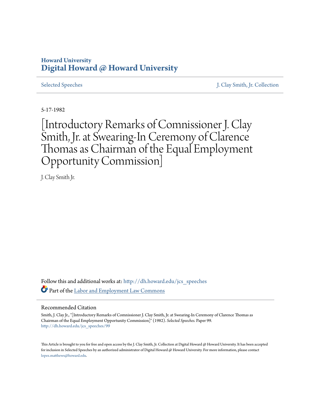## **Howard University [Digital Howard @ Howard University](http://dh.howard.edu?utm_source=dh.howard.edu%2Fjcs_speeches%2F99&utm_medium=PDF&utm_campaign=PDFCoverPages)**

[Selected Speeches](http://dh.howard.edu/jcs_speeches?utm_source=dh.howard.edu%2Fjcs_speeches%2F99&utm_medium=PDF&utm_campaign=PDFCoverPages) [J. Clay Smith, Jr. Collection](http://dh.howard.edu/jcsmith?utm_source=dh.howard.edu%2Fjcs_speeches%2F99&utm_medium=PDF&utm_campaign=PDFCoverPages)

5-17-1982

[Introductory Remarks of Comnissioner J. Clay Smith, Jr. at Swearing-In Ceremony of Clarence Thomas as Chairman of the Equal Employment Opportunity Commission]

J. Clay Smith Jr.

Follow this and additional works at: [http://dh.howard.edu/jcs\\_speeches](http://dh.howard.edu/jcs_speeches?utm_source=dh.howard.edu%2Fjcs_speeches%2F99&utm_medium=PDF&utm_campaign=PDFCoverPages) Part of the [Labor and Employment Law Commons](http://network.bepress.com/hgg/discipline/909?utm_source=dh.howard.edu%2Fjcs_speeches%2F99&utm_medium=PDF&utm_campaign=PDFCoverPages)

## Recommended Citation

Smith, J. Clay Jr., "[Introductory Remarks of Comnissioner J. Clay Smith, Jr. at Swearing-In Ceremony of Clarence Thomas as Chairman of the Equal Employment Opportunity Commission]" (1982). *Selected Speeches.* Paper 99. [http://dh.howard.edu/jcs\\_speeches/99](http://dh.howard.edu/jcs_speeches/99?utm_source=dh.howard.edu%2Fjcs_speeches%2F99&utm_medium=PDF&utm_campaign=PDFCoverPages)

This Article is brought to you for free and open access by the J. Clay Smith, Jr. Collection at Digital Howard @ Howard University. It has been accepted for inclusion in Selected Speeches by an authorized administrator of Digital Howard @ Howard University. For more information, please contact [lopez.matthews@howard.edu.](mailto:lopez.matthews@howard.edu)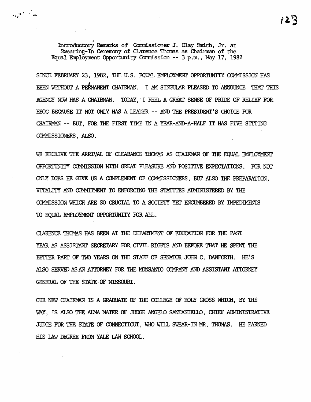Introductory Remarks of Commissioner J. Clay Smith, Jr. at Swearing-In Ceremony of Clarence Thomas as Chairman of the Equal Employment Opportunity Commission -- 3 p.m., May 17, 1982

 $\sum_{k=1}^{\infty}$ 

SINCE FEBRUARY 23, 1982, THE U.S. EOUAL EMPLOYMENT OPPORTUNITY COMMISSION HAS BEEN WITHOUT A PERMANENT CHAIRMAN. I AM SINGULAR PLEASED TO ANNOUNCE THAT THIS AGENCY NOW HAS A CHAIRMAN. TODAY, I FEEL A GREAT SENSE OF PRIDE OF RELIEF FOR EEOC BECAUSE IT NOT ONLY HAS A LEADER -- AND THE PRESIDENT'S CHOICE FOR CHAIRMAN -- BUT, FOR THE FIRST TIME IN A YEAR-AND-A-HALF IT HAS FIVE SITTING COMMISSIONERS, ALSO.

WE RECEIVE THE ARRIVAL OF CLEARANCE THOMAS AS CHAIRMAN OF THE EOUAL EMPLOYMENT OPPORTUNITY COMMISSION WITH GREAT PLEASURE AND POSITIVE EXPECTATIONS. FOR NOT ONLY DOES HE GIVE US A COMPLEMENT OF COMMISSIONERS, BUT ALSO THE PREPARATION. VITALITY AND COMMITMENT TO ENFORCING THE STATUTES ADMINISTERED BY THE COMMISSION WHICH ARE SO CRUCIAL TO A SOCIETY YET ENCUMBERED BY IMPEDIMENTS TO EQUAL EMPLOYMENT OPPORTUNITY FOR ALL.

CLARENCE THOMAS HAS BEEN AT THE DEPARTMENT OF EDUCATION FOR THE PAST YEAR AS ASSISTANT SECRETARY FOR CIVIL RIGHTS AND BEFORE THAT HE SPENT THE BETTER PART OF TWO YEARS ON THE STAFF OF SENATOR JOHN C. DANFORTH. HE'S ALSO SERVED AS AN ATTORNEY FOR THE MONSANTO COMPANY AND ASSISTANT ATTORNEY GENERAL OF THE STATE OF MISSOURI.

OUR NEW CHAIRMAN IS A GRADUATE OF THE COLLEGE OF HOLY CROSS WHICH, BY THE WAY, IS ALSO THE ALMA MATER OF JUDGE ANGELO SANTANIELLO, CHIEF ADMINISTRATIVE JUDGE FOR THE STATE OF CONNECTICUT, WHO WILL SWEAR-IN MR. THOMAS. HE EARNED HIS IAW DEGREE FROM YALE LAW SCHOOL.